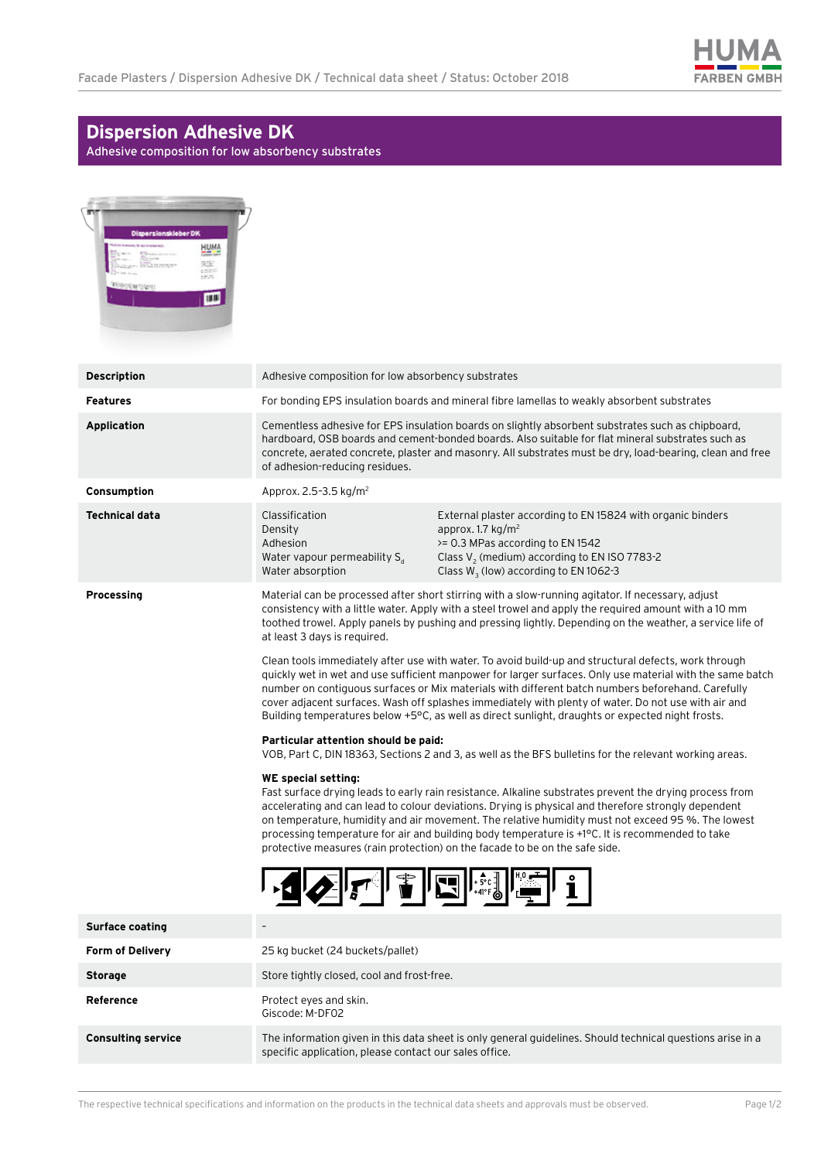

## **Dispersion Adhesive DK**

Adhesive composition for low absorbency substrates

| Dispersionskieber DK<br>HUMA<br>脚<br>enes<br><b>THE</b> |                                                                                                                                                                                                                                                                                                                                                                                                                                                                                                                                                                                                                                                                                       |                                                                                                                                                                                                                                |
|---------------------------------------------------------|---------------------------------------------------------------------------------------------------------------------------------------------------------------------------------------------------------------------------------------------------------------------------------------------------------------------------------------------------------------------------------------------------------------------------------------------------------------------------------------------------------------------------------------------------------------------------------------------------------------------------------------------------------------------------------------|--------------------------------------------------------------------------------------------------------------------------------------------------------------------------------------------------------------------------------|
| <b>Description</b>                                      | Adhesive composition for low absorbency substrates                                                                                                                                                                                                                                                                                                                                                                                                                                                                                                                                                                                                                                    |                                                                                                                                                                                                                                |
| <b>Features</b>                                         | For bonding EPS insulation boards and mineral fibre lamellas to weakly absorbent substrates                                                                                                                                                                                                                                                                                                                                                                                                                                                                                                                                                                                           |                                                                                                                                                                                                                                |
| <b>Application</b>                                      | Cementless adhesive for EPS insulation boards on slightly absorbent substrates such as chipboard,<br>hardboard, OSB boards and cement-bonded boards. Also suitable for flat mineral substrates such as<br>concrete, aerated concrete, plaster and masonry. All substrates must be dry, load-bearing, clean and free<br>of adhesion-reducing residues.                                                                                                                                                                                                                                                                                                                                 |                                                                                                                                                                                                                                |
| Consumption                                             | Approx. 2.5-3.5 kg/m <sup>2</sup>                                                                                                                                                                                                                                                                                                                                                                                                                                                                                                                                                                                                                                                     |                                                                                                                                                                                                                                |
| <b>Technical data</b>                                   | Classification<br>Density<br>Adhesion<br>Water vapour permeability $S_{d}$<br>Water absorption                                                                                                                                                                                                                                                                                                                                                                                                                                                                                                                                                                                        | External plaster according to EN 15824 with organic binders<br>approx. 1.7 $kg/m2$<br>>= 0.3 MPas according to EN 1542<br>Class $V_2$ (medium) according to EN ISO 7783-2<br>Class W <sub>3</sub> (low) according to EN 1062-3 |
| <b>Processing</b>                                       | Material can be processed after short stirring with a slow-running agitator. If necessary, adjust<br>consistency with a little water. Apply with a steel trowel and apply the required amount with a 10 mm<br>toothed trowel. Apply panels by pushing and pressing lightly. Depending on the weather, a service life of<br>at least 3 days is required.                                                                                                                                                                                                                                                                                                                               |                                                                                                                                                                                                                                |
|                                                         | Clean tools immediately after use with water. To avoid build-up and structural defects, work through<br>quickly wet in wet and use sufficient manpower for larger surfaces. Only use material with the same batch<br>number on contiguous surfaces or Mix materials with different batch numbers beforehand. Carefully<br>cover adjacent surfaces. Wash off splashes immediately with plenty of water. Do not use with air and<br>Building temperatures below +5°C, as well as direct sunlight, draughts or expected night frosts.                                                                                                                                                    |                                                                                                                                                                                                                                |
|                                                         | Particular attention should be paid:<br>VOB, Part C, DIN 18363, Sections 2 and 3, as well as the BFS bulletins for the relevant working areas.<br><b>WE special setting:</b><br>Fast surface drying leads to early rain resistance. Alkaline substrates prevent the drying process from<br>accelerating and can lead to colour deviations. Drying is physical and therefore strongly dependent<br>on temperature, humidity and air movement. The relative humidity must not exceed 95 %. The lowest<br>processing temperature for air and building body temperature is +1°C. It is recommended to take<br>protective measures (rain protection) on the facade to be on the safe side. |                                                                                                                                                                                                                                |
|                                                         |                                                                                                                                                                                                                                                                                                                                                                                                                                                                                                                                                                                                                                                                                       |                                                                                                                                                                                                                                |
|                                                         | $\sum_{\mathcal{A}}\left\ \mathcal{A}^{\mathcal{A}}\right\ \left\ \mathcal{A}^{\mathcal{A}}\right\ \left\ \mathcal{A}^{\mathcal{A}}\right\ $                                                                                                                                                                                                                                                                                                                                                                                                                                                                                                                                          |                                                                                                                                                                                                                                |
| <b>Surface coating</b>                                  |                                                                                                                                                                                                                                                                                                                                                                                                                                                                                                                                                                                                                                                                                       |                                                                                                                                                                                                                                |
| Form of Delivery                                        | 25 kg bucket (24 buckets/pallet)                                                                                                                                                                                                                                                                                                                                                                                                                                                                                                                                                                                                                                                      |                                                                                                                                                                                                                                |
| <b>Storage</b>                                          | Store tightly closed, cool and frost-free.                                                                                                                                                                                                                                                                                                                                                                                                                                                                                                                                                                                                                                            |                                                                                                                                                                                                                                |
| Reference                                               | Protect eyes and skin.<br>Giscode: M-DF02                                                                                                                                                                                                                                                                                                                                                                                                                                                                                                                                                                                                                                             |                                                                                                                                                                                                                                |
| <b>Consulting service</b>                               | specific application, please contact our sales office.                                                                                                                                                                                                                                                                                                                                                                                                                                                                                                                                                                                                                                | The information given in this data sheet is only general guidelines. Should technical questions arise in a                                                                                                                     |